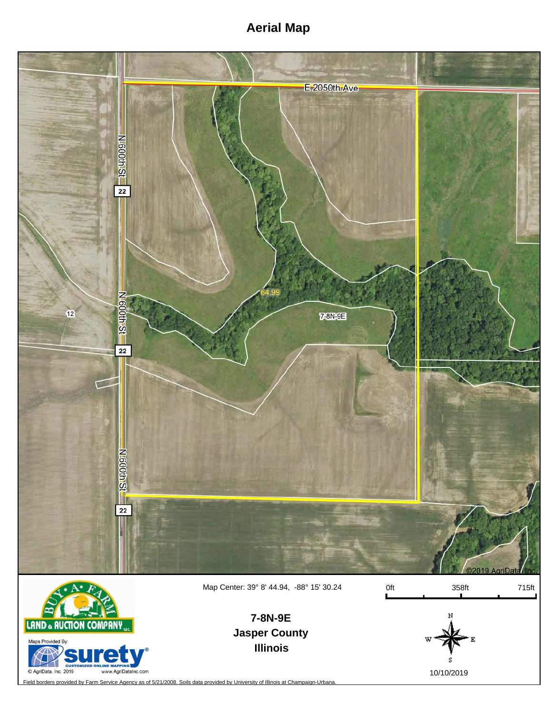## **Aerial Map**



Map Center: 39° 8' 44.94, -88° 15' 30.24

0ft 358ft 715ft



**Jasper County Illinois 7-8N-9E**



Field borders provided by Farm Service Agency as of 5/21/2008. Soils data provided by University of Illinois at Champaign-Urbana.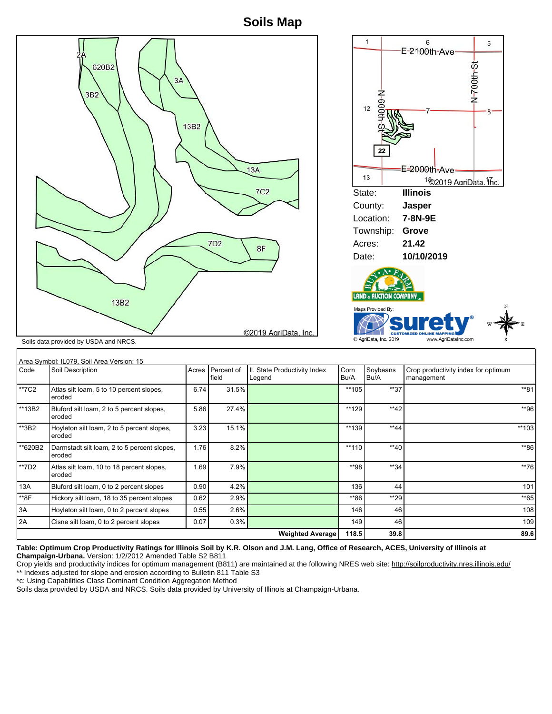**Soils Map**



13A Bluford silt loam, 0 to 2 percent slopes 0.90 4.2% 136 136 44 2010 \*\*8F Hickory silt loam, 18 to 35 percent slopes  $\begin{vmatrix} 0.62 & 2.9\% \end{vmatrix}$  2.9%  $\begin{vmatrix} 0.62 & 0.62 \end{vmatrix}$  \*\*86 \*\*29 \*\*29 \*\*29 \*\*65 \*\* 3A Hoyleton silt loam, 0 to 2 percent slopes 0.55 2.6% 108 146 146 46 108 2A Cisne silt loam, 0 to 2 percent slopes 0.07 0.3% 149 149 46 109

**Table: Optimum Crop Productivity Ratings for Illinois Soil by K.R. Olson and J.M. Lang, Office of Research, ACES, University of Illinois at**

Crop yields and productivity indices for optimum management (B811) are maintained at the following NRES web site: http://soilproductivity.nres.illinois.edu/

**Weighted Average** | 118.5 39.8 **89.6** 

| *c: Using Capabilities Class Dominant Condition Aggregation Method                                       |  |
|----------------------------------------------------------------------------------------------------------|--|
| Soils data provided by USDA and NRCS. Soils data provided by University of Illinois at Champaign-Urbana. |  |

eroded

**Champaign-Urbana.** Version: 1/2/2012 Amended Table S2 B811

\*\* Indexes adjusted for slope and erosion according to Bulletin 811 Table S3